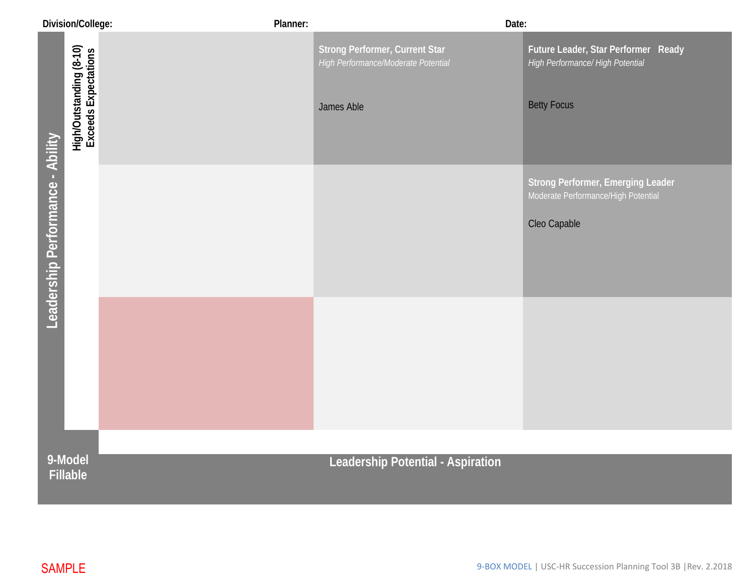| Division/College:                               | Planner:                                                                                   | Date:                                                                                         |  |
|-------------------------------------------------|--------------------------------------------------------------------------------------------|-----------------------------------------------------------------------------------------------|--|
| High/Outstanding (8-10)<br>Exceeds Expectations | <b>Strong Performer, Current Star</b><br>High Performance/Moderate Potential<br>James Able | Future Leader, Star Performer Ready<br>High Performance/ High Potential<br><b>Betty Focus</b> |  |
| Leadership Performance - Ability                |                                                                                            | Strong Performer, Emerging Leader<br>Moderate Performance/High Potential<br>Cleo Capable      |  |
|                                                 |                                                                                            |                                                                                               |  |
| 9-Model                                         |                                                                                            |                                                                                               |  |
| Leadership Potential - Aspiration<br>Fillable   |                                                                                            |                                                                                               |  |